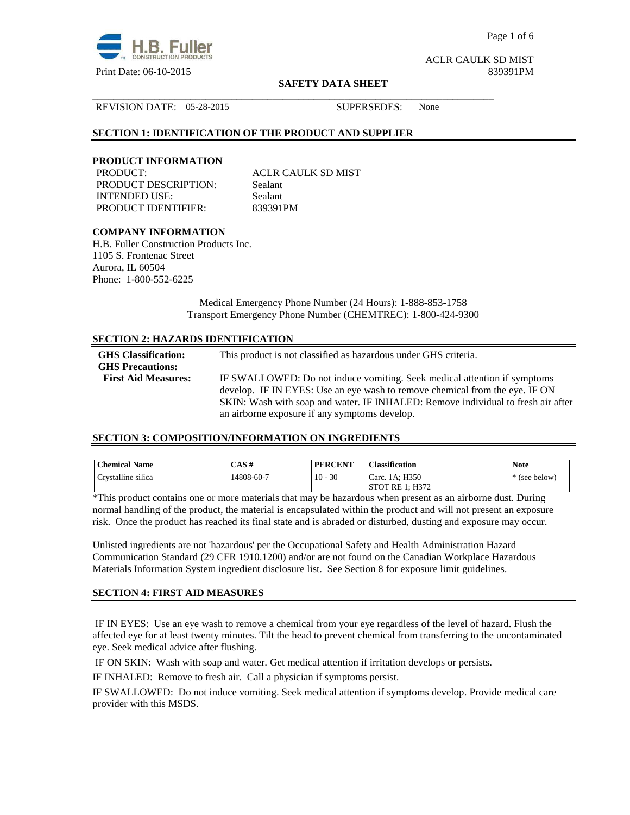

Page 1 of 6

ACLR CAULK SD MIST

#### **SAFETY DATA SHEET**

REVISION DATE: 05-28-2015 SUPERSEDES: None

#### **SECTION 1: IDENTIFICATION OF THE PRODUCT AND SUPPLIER**

#### **PRODUCT INFORMATION**

PRODUCT: ACLR CAULK SD MIST PRODUCT DESCRIPTION: Sealant INTENDED USE: Sealant PRODUCT IDENTIFIER: 839391PM

\_\_\_\_\_\_\_\_\_\_\_\_\_\_\_\_\_\_\_\_\_\_\_\_\_\_\_\_\_\_\_\_\_\_\_\_\_\_\_\_\_\_\_\_\_\_\_\_\_\_\_\_\_\_\_\_\_\_\_\_\_\_\_\_\_\_\_\_\_\_\_\_\_\_\_\_\_\_

#### **COMPANY INFORMATION**

H.B. Fuller Construction Products Inc. 1105 S. Frontenac Street Aurora, IL 60504 Phone: 1-800-552-6225

> Medical Emergency Phone Number (24 Hours): 1-888-853-1758 Transport Emergency Phone Number (CHEMTREC): 1-800-424-9300

#### **SECTION 2: HAZARDS IDENTIFICATION**

| <b>GHS</b> Classification:<br><b>GHS Precautions:</b> | This product is not classified as hazardous under GHS criteria.                                                                                         |
|-------------------------------------------------------|---------------------------------------------------------------------------------------------------------------------------------------------------------|
| <b>First Aid Measures:</b>                            | IF SWALLOWED: Do not induce vomiting. Seek medical attention if symptoms<br>develop. IF IN EYES: Use an eye wash to remove chemical from the eye. IF ON |
|                                                       | SKIN: Wash with soap and water. IF INHALED: Remove individual to fresh air after<br>an airborne exposure if any symptoms develop.                       |

#### **SECTION 3: COMPOSITION/INFORMATION ON INGREDIENTS**

| <b>Chemical Name</b> | CAS#       | <b>PERCENT</b> | <b>Classification</b> | <b>Note</b> |
|----------------------|------------|----------------|-----------------------|-------------|
| Crystalline silica   | 14808-60-7 | $10 - 30$      | Carc. 1A: H350        | (see below) |
|                      |            |                | STOT RE 1: H372       |             |

\*This product contains one or more materials that may be hazardous when present as an airborne dust. During normal handling of the product, the material is encapsulated within the product and will not present an exposure risk. Once the product has reached its final state and is abraded or disturbed, dusting and exposure may occur.

Unlisted ingredients are not 'hazardous' per the Occupational Safety and Health Administration Hazard Communication Standard (29 CFR 1910.1200) and/or are not found on the Canadian Workplace Hazardous Materials Information System ingredient disclosure list. See Section 8 for exposure limit guidelines.

#### **SECTION 4: FIRST AID MEASURES**

 IF IN EYES: Use an eye wash to remove a chemical from your eye regardless of the level of hazard. Flush the affected eye for at least twenty minutes. Tilt the head to prevent chemical from transferring to the uncontaminated eye. Seek medical advice after flushing.

IF ON SKIN: Wash with soap and water. Get medical attention if irritation develops or persists.

IF INHALED: Remove to fresh air. Call a physician if symptoms persist.

IF SWALLOWED:Do not induce vomiting. Seek medical attention if symptoms develop. Provide medical care provider with this MSDS.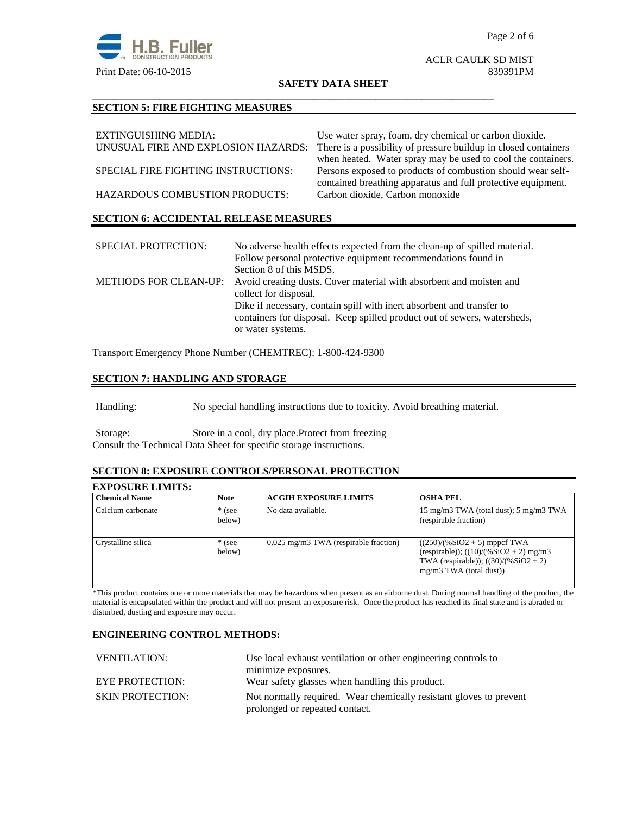

## ACLR CAULK SD MIST

#### **SAFETY DATA SHEET**

\_\_\_\_\_\_\_\_\_\_\_\_\_\_\_\_\_\_\_\_\_\_\_\_\_\_\_\_\_\_\_\_\_\_\_\_\_\_\_\_\_\_\_\_\_\_\_\_\_\_\_\_\_\_\_\_\_\_\_\_\_\_\_\_\_\_\_\_\_\_\_\_\_\_\_\_\_\_

### **SECTION 5: FIRE FIGHTING MEASURES**

| EXTINGUISHING MEDIA:                          | Use water spray, foam, dry chemical or carbon dioxide.          |
|-----------------------------------------------|-----------------------------------------------------------------|
| UNUSUAL FIRE AND EXPLOSION HAZARDS:           | There is a possibility of pressure buildup in closed containers |
|                                               | when heated. Water spray may be used to cool the containers.    |
| SPECIAL FIRE FIGHTING INSTRUCTIONS:           | Persons exposed to products of combustion should wear self-     |
|                                               | contained breathing apparatus and full protective equipment.    |
| <b>HAZARDOUS COMBUSTION PRODUCTS:</b>         | Carbon dioxide, Carbon monoxide                                 |
|                                               |                                                                 |
| <b>SECTION 6: ACCIDENTAL RELEASE MEASURES</b> |                                                                 |

| <b>SPECIAL PROTECTION:</b> | No adverse health effects expected from the clean-up of spilled material.<br>Follow personal protective equipment recommendations found in<br>Section 8 of this MSDS.  |
|----------------------------|------------------------------------------------------------------------------------------------------------------------------------------------------------------------|
|                            | METHODS FOR CLEAN-UP: Avoid creating dusts. Cover material with absorbent and moisten and<br>collect for disposal.                                                     |
|                            | Dike if necessary, contain spill with inert absorbent and transfer to<br>containers for disposal. Keep spilled product out of sewers, watersheds,<br>or water systems. |

Transport Emergency Phone Number (CHEMTREC): 1-800-424-9300

#### **SECTION 7: HANDLING AND STORAGE**

Handling: No special handling instructions due to toxicity. Avoid breathing material.

Storage: Store in a cool, dry place.Protect from freezing Consult the Technical Data Sheet for specific storage instructions.

#### **SECTION 8: EXPOSURE CONTROLS/PERSONAL PROTECTION**

#### **EXPOSURE LIMITS:**

| <b>Chemical Name</b> | <b>Note</b>        | <b>ACGIH EXPOSURE LIMITS</b>            | <b>OSHA PEL</b>                                                                                                                                    |
|----------------------|--------------------|-----------------------------------------|----------------------------------------------------------------------------------------------------------------------------------------------------|
| Calcium carbonate    | $*$ (see<br>below) | No data available.                      | 15 mg/m3 TWA (total dust); 5 mg/m3 TWA<br>(respirable fraction)                                                                                    |
| Crystalline silica   | $*$ (see<br>below) | $0.025$ mg/m3 TWA (respirable fraction) | $((250)/(%SiO2 + 5)$ mppcf TWA<br>(respirable)); $((10)/(%SiO2 + 2)$ mg/m3<br>TWA (respirable)); $((30)/(%SiO2 + 2))$<br>$mg/m3$ TWA (total dust)) |

\*This product contains one or more materials that may be hazardous when present as an airborne dust. During normal handling of the product, the material is encapsulated within the product and will not present an exposure risk. Once the product has reached its final state and is abraded or disturbed, dusting and exposure may occur.

#### **ENGINEERING CONTROL METHODS:**

| Use local exhaust ventilation or other engineering controls to                                       |  |
|------------------------------------------------------------------------------------------------------|--|
| minimize exposures.                                                                                  |  |
| Wear safety glasses when handling this product.                                                      |  |
| Not normally required. Wear chemically resistant gloves to prevent<br>prolonged or repeated contact. |  |
|                                                                                                      |  |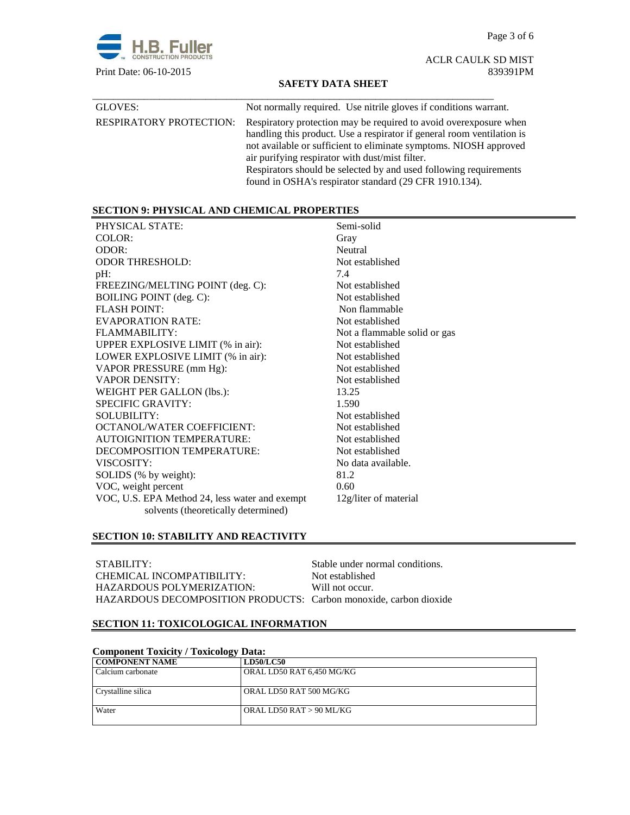Page 3 of 6



ACLR CAULK SD MIST

#### **SAFETY DATA SHEET**

| GLOVES:                        | Not normally required. Use nitrile gloves if conditions warrant.                                                                                                                                                                                                                                                                                                                                   |
|--------------------------------|----------------------------------------------------------------------------------------------------------------------------------------------------------------------------------------------------------------------------------------------------------------------------------------------------------------------------------------------------------------------------------------------------|
| <b>RESPIRATORY PROTECTION:</b> | Respiratory protection may be required to avoid overexposure when<br>handling this product. Use a respirator if general room ventilation is<br>not available or sufficient to eliminate symptoms. NIOSH approved<br>air purifying respirator with dust/mist filter.<br>Respirators should be selected by and used following requirements<br>found in OSHA's respirator standard (29 CFR 1910.134). |

#### **SECTION 9: PHYSICAL AND CHEMICAL PROPERTIES**

| PHYSICAL STATE:                                | Semi-solid                   |
|------------------------------------------------|------------------------------|
| COLOR:                                         | Gray                         |
| ODOR:                                          | Neutral                      |
| <b>ODOR THRESHOLD:</b>                         | Not established              |
| $pH$ :                                         | 7.4                          |
| FREEZING/MELTING POINT (deg. C):               | Not established              |
| <b>BOILING POINT</b> (deg. C):                 | Not established              |
| <b>FLASH POINT:</b>                            | Non flammable                |
| <b>EVAPORATION RATE:</b>                       | Not established              |
| FLAMMABILITY:                                  | Not a flammable solid or gas |
| UPPER EXPLOSIVE LIMIT (% in air):              | Not established              |
| LOWER EXPLOSIVE LIMIT (% in air):              | Not established              |
| VAPOR PRESSURE (mm Hg):                        | Not established              |
| <b>VAPOR DENSITY:</b>                          | Not established              |
| <b>WEIGHT PER GALLON (lbs.):</b>               | 13.25                        |
| <b>SPECIFIC GRAVITY:</b>                       | 1.590                        |
| <b>SOLUBILITY:</b>                             | Not established              |
| <b>OCTANOL/WATER COEFFICIENT:</b>              | Not established              |
| <b>AUTOIGNITION TEMPERATURE:</b>               | Not established              |
| DECOMPOSITION TEMPERATURE:                     | Not established              |
| VISCOSITY:                                     | No data available.           |
| SOLIDS (% by weight):                          | 81.2                         |
| VOC, weight percent                            | 0.60                         |
| VOC, U.S. EPA Method 24, less water and exempt | 12g/liter of material        |
| solvents (theoretically determined)            |                              |

#### **SECTION 10: STABILITY AND REACTIVITY**

| STABILITY:                                                        | Stable under normal conditions. |
|-------------------------------------------------------------------|---------------------------------|
| CHEMICAL INCOMPATIBILITY:                                         | Not established                 |
| HAZARDOUS POLYMERIZATION:                                         | Will not occur.                 |
| HAZARDOUS DECOMPOSITION PRODUCTS: Carbon monoxide, carbon dioxide |                                 |

#### **SECTION 11: TOXICOLOGICAL INFORMATION**

| <b>Component Toxicity / Toxicology Data:</b> |                           |  |  |
|----------------------------------------------|---------------------------|--|--|
| <b>COMPONENT NAME</b>                        | <b>LD50/LC50</b>          |  |  |
| Calcium carbonate                            | ORAL LD50 RAT 6,450 MG/KG |  |  |
| Crystalline silica                           | ORAL LD50 RAT 500 MG/KG   |  |  |
| Water                                        | ORAL LD50 RAT > 90 ML/KG  |  |  |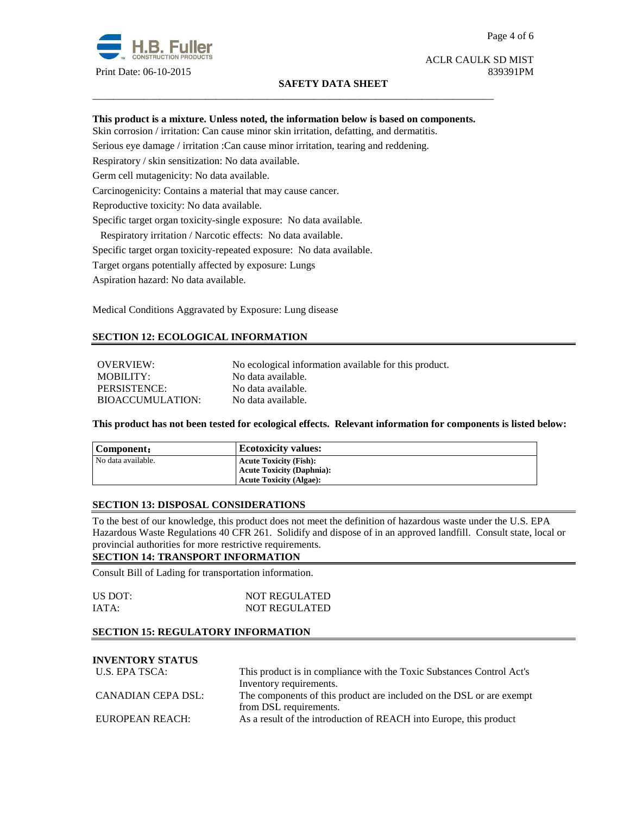

#### **SAFETY DATA SHEET**

# ACLR CAULK SD MIST

#### **This product is a mixture. Unless noted, the information below is based on components.**

\_\_\_\_\_\_\_\_\_\_\_\_\_\_\_\_\_\_\_\_\_\_\_\_\_\_\_\_\_\_\_\_\_\_\_\_\_\_\_\_\_\_\_\_\_\_\_\_\_\_\_\_\_\_\_\_\_\_\_\_\_\_\_\_\_\_\_\_\_\_\_\_\_\_\_\_\_\_

Skin corrosion / irritation: Can cause minor skin irritation, defatting, and dermatitis.

Serious eye damage / irritation :Can cause minor irritation, tearing and reddening.

Respiratory / skin sensitization: No data available.

Germ cell mutagenicity: No data available.

Carcinogenicity: Contains a material that may cause cancer.

Reproductive toxicity: No data available.

Specific target organ toxicity-single exposure:No data available.

Respiratory irritation / Narcotic effects: No data available.

Specific target organ toxicity-repeated exposure:No data available.

Target organs potentially affected by exposure: Lungs

Aspiration hazard: No data available.

Medical Conditions Aggravated by Exposure: Lung disease

#### **SECTION 12: ECOLOGICAL INFORMATION**

OVERVIEW: No ecological information available for this product. MOBILITY: No data available. PERSISTENCE: No data available. BIOACCUMULATION: No data available.

**This product has not been tested for ecological effects. Relevant information for components is listed below:** 

| Component:         | <b>Ecotoxicity values:</b>       |
|--------------------|----------------------------------|
| No data available. | <b>Acute Toxicity (Fish):</b>    |
|                    | <b>Acute Toxicity (Daphnia):</b> |
|                    | <b>Acute Toxicity (Algae):</b>   |

#### **SECTION 13: DISPOSAL CONSIDERATIONS**

To the best of our knowledge, this product does not meet the definition of hazardous waste under the U.S. EPA Hazardous Waste Regulations 40 CFR 261. Solidify and dispose of in an approved landfill. Consult state, local or provincial authorities for more restrictive requirements.

#### **SECTION 14: TRANSPORT INFORMATION**

Consult Bill of Lading for transportation information.

| US DOT: | <b>NOT REGULATED</b> |
|---------|----------------------|
| IATA:   | <b>NOT REGULATED</b> |

#### **SECTION 15: REGULATORY INFORMATION**

### **INVENTORY STATUS**

| U.S. EPA TSCA:     | This product is in compliance with the Toxic Substances Control Act's |  |
|--------------------|-----------------------------------------------------------------------|--|
|                    | Inventory requirements.                                               |  |
| CANADIAN CEPA DSL: | The components of this product are included on the DSL or are exempt  |  |
|                    | from DSL requirements.                                                |  |
| EUROPEAN REACH:    | As a result of the introduction of REACH into Europe, this product    |  |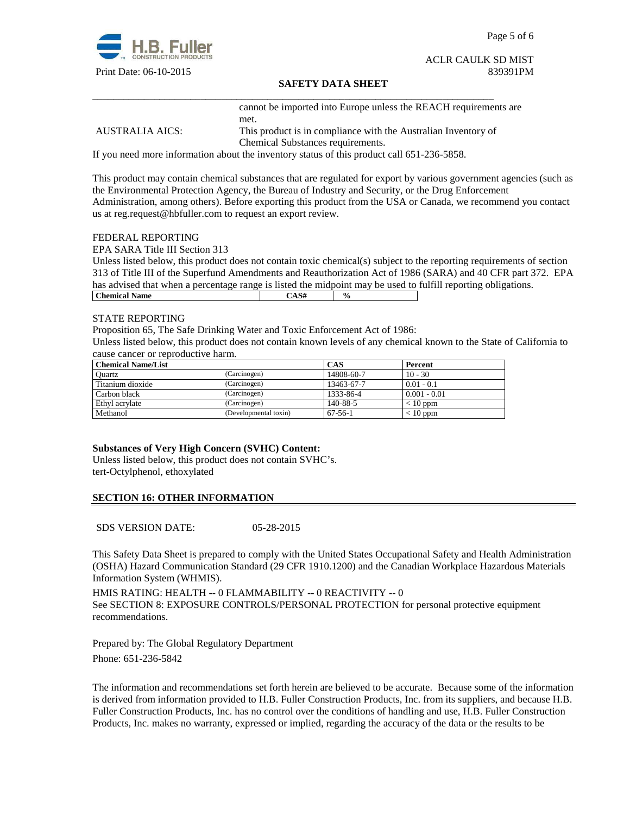

Page 5 of 6

### ACLR CAULK SD MIST

#### **SAFETY DATA SHEET**

cannot be imported into Europe unless the REACH requirements are met.

AUSTRALIA AICS: This product is in compliance with the Australian Inventory of Chemical Substances requirements.

If you need more information about the inventory status of this product call 651-236-5858.

\_\_\_\_\_\_\_\_\_\_\_\_\_\_\_\_\_\_\_\_\_\_\_\_\_\_\_\_\_\_\_\_\_\_\_\_\_\_\_\_\_\_\_\_\_\_\_\_\_\_\_\_\_\_\_\_\_\_\_\_\_\_\_\_\_\_\_\_\_\_\_\_\_\_\_\_\_\_

This product may contain chemical substances that are regulated for export by various government agencies (such as the Environmental Protection Agency, the Bureau of Industry and Security, or the Drug Enforcement Administration, among others). Before exporting this product from the USA or Canada, we recommend you contact us at reg.request@hbfuller.com to request an export review.

#### FEDERAL REPORTING

EPA SARA Title III Section 313

Unless listed below, this product does not contain toxic chemical(s) subject to the reporting requirements of section 313 of Title III of the Superfund Amendments and Reauthorization Act of 1986 (SARA) and 40 CFR part 372. EPA has advised that when a percentage range is listed the midpoint may be used to fulfill reporting obligations. **Chemical Name**  $\qquad \qquad$   $\qquad \qquad$   $\qquad \qquad$   $\qquad \qquad$   $\qquad \qquad$   $\qquad \qquad$   $\qquad \qquad$   $\qquad \qquad$   $\qquad \qquad$   $\qquad \qquad$   $\qquad \qquad$   $\qquad \qquad$   $\qquad \qquad$   $\qquad \qquad$   $\qquad \qquad$   $\qquad \qquad$   $\qquad \qquad$   $\qquad \qquad$   $\qquad \qquad$   $\qquad \qquad$   $\qquad \qquad$   $\qquad \qquad$   $\qquad \qquad$ 

#### STATE REPORTING

Proposition 65, The Safe Drinking Water and Toxic Enforcement Act of 1986:

Unless listed below, this product does not contain known levels of any chemical known to the State of California to cause cancer or reproductive harm.

| <b>Chemical Name/List</b> |                       | CAS           | Percent        |
|---------------------------|-----------------------|---------------|----------------|
| Ouartz                    | (Carcinogen)          | 14808-60-7    | $10 - 30$      |
| Titanium dioxide          | (Carcinogen)          | 13463-67-7    | $0.01 - 0.1$   |
| Carbon black              | (Carcinogen)          | 1333-86-4     | $0.001 - 0.01$ |
| Ethyl acrylate            | (Carcinogen)          | 140-88-5      | $< 10$ ppm     |
| Methanol                  | (Developmental toxin) | $67 - 56 - 1$ | $< 10$ ppm     |

#### **Substances of Very High Concern (SVHC) Content:**

Unless listed below, this product does not contain SVHC's. tert-Octylphenol, ethoxylated

#### **SECTION 16: OTHER INFORMATION**

SDS VERSION DATE: 05-28-2015

This Safety Data Sheet is prepared to comply with the United States Occupational Safety and Health Administration (OSHA) Hazard Communication Standard (29 CFR 1910.1200) and the Canadian Workplace Hazardous Materials Information System (WHMIS).

HMIS RATING: HEALTH -- 0 FLAMMABILITY -- 0 REACTIVITY -- 0 See SECTION 8: EXPOSURE CONTROLS/PERSONAL PROTECTION for personal protective equipment recommendations.

Prepared by: The Global Regulatory Department Phone: 651-236-5842

The information and recommendations set forth herein are believed to be accurate. Because some of the information is derived from information provided to H.B. Fuller Construction Products, Inc. from its suppliers, and because H.B. Fuller Construction Products, Inc. has no control over the conditions of handling and use, H.B. Fuller Construction Products, Inc. makes no warranty, expressed or implied, regarding the accuracy of the data or the results to be